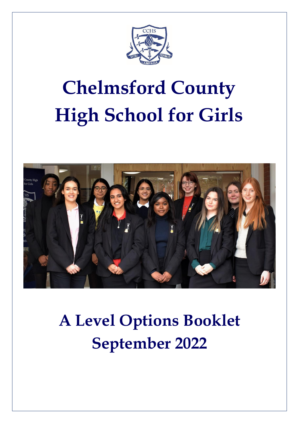

# **Chelmsford County High School for Girls**



## **A Level Options Booklet September 2022**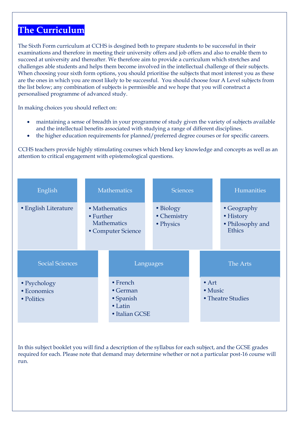### **The Curriculum**

The Sixth Form curriculum at CCHS is desgined both to prepare students to be successful in their examinations and therefore in meeting their university offers and job offers and also to enable them to succeed at university and thereafter. We therefore aim to provide a curriculum which stretches and challenges able students and helps them become involved in the intellectual challenge of their subjects. When choosing your sixth form options, you should prioritise the subjects that most interest you as these are the ones in which you are most likely to be successful. You should choose four A Level subjects from the list below; any combination of subjects is permissible and we hope that you will construct a personalised programme of advanced study.

In making choices you should reflect on:

- maintaining a sense of breadth in your programme of study given the variety of subjects available and the intellectual benefits associated with studying a range of different disciplines.
- the higher education requirements for planned/preferred degree courses or for specific careers.

CCHS teachers provide highly stimulating courses which blend key knowledge and concepts as well as an attention to critical engagement with epistemological questions.



In this subject booklet you will find a description of the syllabus for each subject, and the GCSE grades required for each. Please note that demand may determine whether or not a particular post-16 course will run.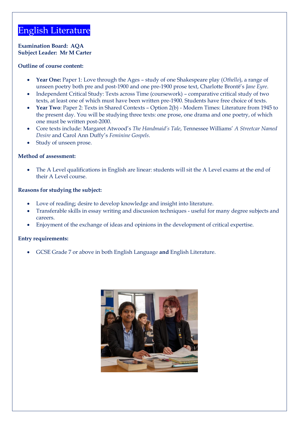### English Literature

**Examination Board: AQA Subject Leader: Mr M Carter**

#### **Outline of course content:**

- **Year One:** Paper 1: Love through the Ages study of one Shakespeare play (*Othello*), a range of unseen poetry both pre and post-1900 and one pre-1900 prose text, Charlotte Brontë's *Jane Eyre*.
- Independent Critical Study: Texts across Time (coursework) comparative critical study of two texts, at least one of which must have been written pre-1900. Students have free choice of texts.
- **Year Two**: Paper 2: Texts in Shared Contexts Option 2(b) Modern Times: Literature from 1945 to the present day. You will be studying three texts: one prose, one drama and one poetry, of which one must be written post-2000.
- Core texts include: Margaret Atwood's *The Handmaid's Tale*, Tennessee Williams' *A Streetcar Named Desire* and Carol Ann Duffy's *Feminine Gospels*.
- Study of unseen prose.

#### **Method of assessment:**

The A Level qualifications in English are linear: students will sit the A Level exams at the end of their A Level course.

#### **Reasons for studying the subject:**

- Love of reading; desire to develop knowledge and insight into literature.
- Transferable skills in essay writing and discussion techniques useful for many degree subjects and careers.
- Enjoyment of the exchange of ideas and opinions in the development of critical expertise.

### **Entry requirements:**

• GCSE Grade 7 or above in both English Language **and** English Literature.

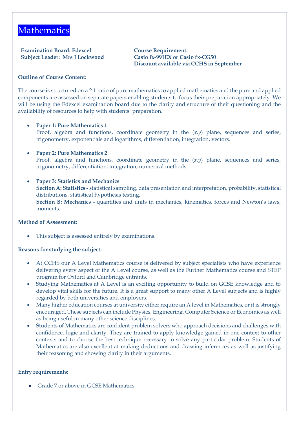### **Mathematics**

**Examination Board: Edexcel Course Requirement: Subject Leader: Mrs J Lockwood Casio fx-991EX or Casio fx-CG50**

## **Discount available via CCHS in September**

### **Outline of Course Content:**

The course is structured on a 2:1 ratio of pure mathematics to applied mathematics and the pure and applied components are assessed on separate papers enabling students to focus their preparation appropriately. We will be using the Edexcel examination board due to the clarity and structure of their questioning and the availability of resources to help with students' preparation.

### • **Paper 1: Pure Mathematics 1**

- Proof, algebra and functions, coordinate geometry in the (*x,y*) plane, sequences and series, trigonometry, exponentials and logarithms, differentiation, integration, vectors.
- **Paper 2: Pure Mathematics 2**  Proof, algebra and functions, coordinate geometry in the  $(x,y)$  plane, sequences and series, trigonometry, differentiation, integration, numerical methods.
- **Paper 3: Statistics and Mechanics Section A: Statistics -** statistical sampling, data presentation and interpretation, probability, statistical distributions, statistical hypothesis testing. **Section B: Mechanics -** quantities and units in mechanics, kinematics, forces and Newton's laws, moments.

### **Method of Assessment:**

This subject is assessed entirely by examinations.

### **Reasons for studying the subject:**

- At CCHS our A Level Mathematics course is delivered by subject specialists who have experience delivering every aspect of the A Level course, as well as the Further Mathematics course and STEP program for Oxford and Cambridge entrants.
- Studying Mathematics at A Level is an exciting opportunity to build on GCSE knowledge and to develop vital skills for the future. It is a great support to many other A Level subjects and is highly regarded by both universities and employers.
- Many higher education courses at university either require an A level in Mathematics, or it is strongly encouraged. These subjects can include Physics, Engineering, Computer Science or Economics as well as being useful in many other science disciplines.
- Students of Mathematics are confident problem solvers who approach decisions and challenges with confidence, logic and clarity. They are trained to apply knowledge gained in one context to other contexts and to choose the best technique necessary to solve any particular problem. Students of Mathematics are also excellent at making deductions and drawing inferences as well as justifying their reasoning and showing clarity in their arguments.

### **Entry requirements:**

• Grade 7 or above in GCSE Mathematics.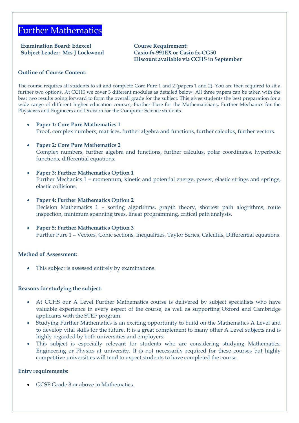### Further Mathematics

**Examination Board: Edexcel Course Requirement: Subject Leader: Mrs J Lockwood Casio fx-991EX or Casio fx-CG50**

## **Discount available via CCHS in September**

### **Outline of Course Content:**

The course requires all students to sit and complete Core Pure 1 and 2 (papers 1 and 2). You are then required to sit a further two options. At CCHS we cover 3 different modules as detailed below. All three papers can be taken with the best two results going forward to form the overall grade for the subject. This gives students the best preparation for a wide range of different higher education courses; Further Pure for the Mathematicians, Further Mechanics for the Physicists and Engineers and Decision for the Computer Science students.

- **Paper 1: Core Pure Mathematics 1**  Proof, complex numbers, matrices, further algebra and functions, further calculus, further vectors.
- **Paper 2: Core Pure Mathematics 2**  Complex numbers, further algebra and functions, further calculus, polar coordinates, hyperbolic functions, differential equations.
- **Paper 3: Further Mathematics Option 1**  Further Mechanics 1 – momentum, kinetic and potential energy, power, elastic strings and springs, elastic collisions.
- **Paper 4: Further Mathematics Option 2** Decision Mathematics 1 – sorting algorithms, grapth theory, shortest path alogrithms, route inspection, minimum spanning trees, linear programming, critical path analysis.
- **Paper 5: Further Mathematics Option 3** Further Pure 1 – Vectors, Conic sections, Inequalities, Taylor Series, Calculus, Differential equations.

### **Method of Assessment:**

This subject is assessed entirely by examinations.

### **Reasons for studying the subject:**

- At CCHS our A Level Further Mathematics course is delivered by subject specialists who have valuable experience in every aspect of the course, as well as supporting Oxford and Cambridge applicants with the STEP program.
- Studying Further Mathematics is an exciting opportunity to build on the Mathematics A Level and to develop vital skills for the future. It is a great complement to many other A Level subjects and is highly regarded by both universities and employers.
- This subject is especially relevant for students who are considering studying Mathematics, Engineering or Physics at university. It is not necessarily required for these courses but highly competitive universities will tend to expect students to have completed the course.

### **Entry requirements:**

• GCSE Grade 8 or above in Mathematics.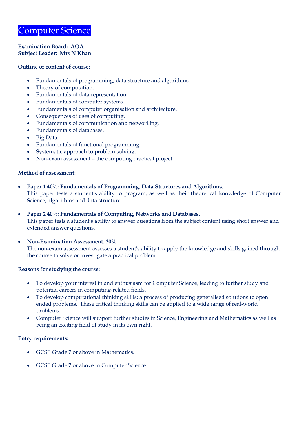### Computer Science

**Examination Board: AQA Subject Leader: Mrs N Khan**

#### **Outline of content of course:**

- Fundamentals of programming, data structure and algorithms.
- Theory of computation.
- Fundamentals of data representation.
- Fundamentals of computer systems.
- Fundamentals of computer organisation and architecture.
- Consequences of uses of computing.
- Fundamentals of communication and networking.
- Fundamentals of databases.
- Big Data.
- Fundamentals of functional programming.
- Systematic approach to problem solving.
- Non-exam assessment the computing practical project.

### **Method of assessment**:

- **Paper 1 40%: Fundamentals of Programming, Data Structures and Algorithms.** This paper tests a student's ability to program, as well as their theoretical knowledge of Computer Science, algorithms and data structure.
- **Paper 2 40%: Fundamentals of Computing, Networks and Databases.** This paper tests a student's ability to answer questions from the subject content using short answer and extended answer questions.
- **Non-Examination Assessment. 20%** The non-exam assessment assesses a student's ability to apply the knowledge and skills gained through the course to solve or investigate a practical problem.

### **Reasons for studying the course:**

- To develop your interest in and enthusiasm for Computer Science, leading to further study and potential careers in computing-related fields.
- To develop computational thinking skills; a process of producing generalised solutions to open ended problems. These critical thinking skills can be applied to a wide range of real-world problems.
- Computer Science will support further studies in Science, Engineering and Mathematics as well as being an exciting field of study in its own right.

- GCSE Grade 7 or above in Mathematics.
- GCSE Grade 7 or above in Computer Science.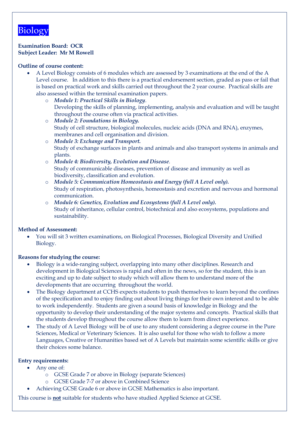### Biology

### **Examination Board: OCR Subject Leader: Mr M Rowell**

### **Outline of course content:**

- A Level Biology consists of 6 modules which are assessed by 3 examinations at the end of the A Level course. In addition to this there is a practical endorsement section, graded as pass or fail that is based on practical work and skills carried out throughout the 2 year course. Practical skills are also assessed within the terminal examination papers.
	- o *Module 1: Practical Skills in Biology*. Developing the skills of planning, implementing, analysis and evaluation and will be taught throughout the course often via practical activities.
	- o *Module 2: Foundations in Biology.* Study of cell structure, biological molecules, nucleic acids (DNA and RNA), enzymes, membranes and cell organisation and division.
	- o *Module 3: Exchange and Transport.* Study of exchange surfaces in plants and animals and also transport systems in animals and plants.
	- o *Module 4: Biodiversity, Evolution and Disease.* Study of communicable diseases, prevention of disease and immunity as well as biodiversity, classification and evolution.
	- o *Module 5: Communication Homeostasis and Energy (full A Level only).* Study of respiration, photosynthesis, homeostasis and excretion and nervous and hormonal communication.
	- o *Module 6: Genetics, Evolution and Ecosystems (full A Level only).* Study of inheritance, cellular control, biotechnical and also ecosystems, populations and sustainability.

### **Method of Assessment:**

• You will sit 3 written examinations, on Biological Processes, Biological Diversity and Unified Biology.

### **Reasons for studying the course:**

- Biology is a wide-ranging subject, overlapping into many other disciplines. Research and development in Biological Sciences is rapid and often in the news, so for the student, this is an exciting and up to date subject to study which will allow them to understand more of the developments that are occurring throughout the world.
- The Biology department at CCHS expects students to push themselves to learn beyond the confines of the specification and to enjoy finding out about living things for their own interest and to be able to work independently. Students are given a sound basis of knowledge in Biology and the opportunity to develop their understanding of the major systems and concepts. Practical skills that the students develop throughout the course allow them to learn from direct experience.
- The study of A Level Biology will be of use to any student considering a degree course in the Pure Sciences, Medical or Veterinary Sciences. It is also useful for those who wish to follow a more Languages, Creative or Humanities based set of A Levels but maintain some scientific skills or give their choices some balance.

### **Entry requirements:**

- Any one of:
	- o GCSE Grade 7 or above in Biology (separate Sciences)
	- o GCSE Grade 7-7 or above in Combined Science
- Achieving GCSE Grade 6 or above in GCSE Mathematics is also important.

This course is **not** suitable for students who have studied Applied Science at GCSE.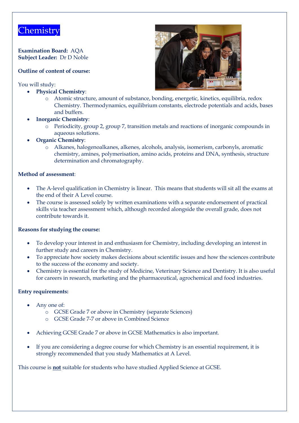### **Chemistry**

**Examination Board:** AQA **Subject Leader:** Dr D Noble

### **Outline of content of course:**

You will study:

- **Physical Chemistry**:
	- o Atomic structure, amount of substance, bonding, energetic, kinetics, equilibria, redox Chemistry. Thermodynamics, equilibrium constants, electrode potentials and acids, bases and buffers.
- **Inorganic Chemistry**:
	- o Periodicity, group 2, group 7, transition metals and reactions of inorganic compounds in aqueous solutions.
- **Organic Chemistry**:
	- o Alkanes, halogenoalkanes, alkenes, alcohols, analysis, isomerism, carbonyls, aromatic chemistry, amines, polymerisation, amino acids, proteins and DNA, synthesis, structure determination and chromatography.

### **Method of assessment**:

- The A-level qualification in Chemistry is linear. This means that students will sit all the exams at the end of their A Level course.
- The course is assessed solely by written examinations with a separate endorsement of practical skills via teacher assessment which, although recorded alongside the overall grade, does not contribute towards it.

### **Reasons for studying the course:**

- To develop your interest in and enthusiasm for Chemistry, including developing an interest in further study and careers in Chemistry.
- To appreciate how society makes decisions about scientific issues and how the sciences contribute to the success of the economy and society.
- Chemistry is essential for the study of Medicine, Veterinary Science and Dentistry. It is also useful for careers in research, marketing and the pharmaceutical, agrochemical and food industries.

### **Entry requirements:**

- Any one of:
	- o GCSE Grade 7 or above in Chemistry (separate Sciences)
	- o GCSE Grade 7-7 or above in Combined Science
- Achieving GCSE Grade 7 or above in GCSE Mathematics is also important.
- If you are considering a degree course for which Chemistry is an essential requirement, it is strongly recommended that you study Mathematics at A Level.

This course is **not** suitable for students who have studied Applied Science at GCSE.

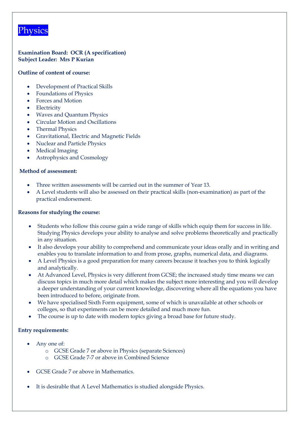### **Physics**

**Examination Board: OCR (A specification) Subject Leader: Mrs P Kurian**

### **Outline of content of course:**

- Development of Practical Skills
- Foundations of Physics
- Forces and Motion
- Electricity
- Waves and Quantum Physics
- Circular Motion and Oscillations
- Thermal Physics
- Gravitational, Electric and Magnetic Fields
- Nuclear and Particle Physics
- Medical Imaging
- Astrophysics and Cosmology

### **Method of assessment:**

- Three written assessments will be carried out in the summer of Year 13.
- A Level students will also be assessed on their practical skills (non-examination) as part of the practical endorsement.

### **Reasons for studying the course:**

- Students who follow this course gain a wide range of skills which equip them for success in life. Studying Physics develops your ability to analyse and solve problems theoretically and practically in any situation.
- It also develops your ability to comprehend and communicate your ideas orally and in writing and enables you to translate information to and from prose, graphs, numerical data, and diagrams.
- A Level Physics is a good preparation for many careers because it teaches you to think logically and analytically.
- At Advanced Level, Physics is very different from GCSE; the increased study time means we can discuss topics in much more detail which makes the subject more interesting and you will develop a deeper understanding of your current knowledge, discovering where all the equations you have been introduced to before, originate from.
- We have specialised Sixth Form equipment, some of which is unavailable at other schools or colleges, so that experiments can be more detailed and much more fun.
- The course is up to date with modern topics giving a broad base for future study.

- Any one of:
	- o GCSE Grade 7 or above in Physics (separate Sciences)
	- o GCSE Grade 7-7 or above in Combined Science
- GCSE Grade 7 or above in Mathematics.
- It is desirable that A Level Mathematics is studied alongside Physics.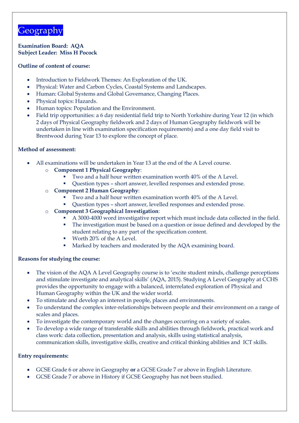### **Geography**

**Examination Board: AQA Subject Leader: Miss H Pocock**

### **Outline of content of course:**

- Introduction to Fieldwork Themes: An Exploration of the UK.
- Physical: Water and Carbon Cycles, Coastal Systems and Landscapes.
- Human: Global Systems and Global Governance, Changing Places.
- Physical topics: Hazards.
- Human topics: Population and the Environment.
- Field trip opportunities: a 6 day residential field trip to North Yorkshire during Year 12 (in which 2 days of Physical Geography fieldwork and 2 days of Human Geography fieldwork will be undertaken in line with examination specification requirements) and a one day field visit to Brentwood during Year 13 to explore the concept of place.

### **Method of assessment:**

- All examinations will be undertaken in Year 13 at the end of the A Level course.
	- o **Component 1 Physical Geography**:
		- Two and a half hour written examination worth 40% of the A Level.
		- Question types short answer, levelled responses and extended prose.
	- o **Component 2 Human Geography**:
		- Two and a half hour written examination worth 40% of the A Level.
		- Question types short answer, levelled responses and extended prose.
	- o **Component 3 Geographical Investigation**:
		- A 3000-4000 word investigative report which must include data collected in the field.
		- The investigation must be based on a question or issue defined and developed by the student relating to any part of the specification content.
		- Worth 20% of the A Level.
		- Marked by teachers and moderated by the AQA examining board.

### **Reasons for studying the course:**

- The vision of the AQA A Level Geography course is to 'excite student minds, challenge perceptions and stimulate investigate and analytical skills' (AQA, 2015). Studying A Level Geography at CCHS provides the opportunity to engage with a balanced, interrelated exploration of Physical and Human Geography within the UK and the wider world.
- To stimulate and develop an interest in people, places and environments.
- To understand the complex inter-relationships between people and their environment on a range of scales and places.
- To investigate the contemporary world and the changes occurring on a variety of scales.
- To develop a wide range of transferable skills and abilities through fieldwork, practical work and class work: data collection, presentation and analysis, skills using statistical analysis, communication skills, investigative skills, creative and critical thinking abilities and ICT skills.

- GCSE Grade 6 or above in Geography **or** a GCSE Grade 7 or above in English Literature.
- GCSE Grade 7 or above in History if GCSE Geography has not been studied.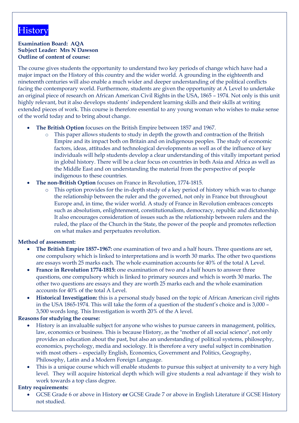### **History**

### **Examination Board: AQA Subject Leader: Mrs N Dawson Outline of content of course:**

The course gives students the opportunity to understand two key periods of change which have had a major impact on the History of this country and the wider world. A grounding in the eighteenth and nineteenth centuries will also enable a much wider and deeper understanding of the political conflicts facing the contemporary world. Furthermore, students are given the opportunity at A Level to undertake an original piece of research on African American Civil Rights in the USA, 1865 – 1974. Not only is this unit highly relevant, but it also develops students' independent learning skills and their skills at writing extended pieces of work. This course is therefore essential to any young woman who wishes to make sense of the world today and to bring about change.

- **The British Option** focuses on the British Empire between 1857 and 1967.
	- This paper allows students to study in depth the growth and contraction of the British Empire and its impact both on Britain and on indigenous peoples. The study of economic factors, ideas, attitudes and technological developments as well as of the influence of key individuals will help students develop a clear understanding of this vitally important period in global history. There will be a clear focus on countries in both Asia and Africa as well as the Middle East and on understanding the material from the perspective of people indigenous to these countries.
- **The non-British Option** focuses on France in Revolution, 1774-1815.
	- This option provides for the in-depth study of a key period of history which was to change the relationship between the ruler and the governed, not only in France but throughout Europe and, in time, the wider world. A study of France in Revolution embraces concepts such as absolutism, enlightenment, constitutionalism, democracy, republic and dictatorship. It also encourages consideration of issues such as the relationship between rulers and the ruled, the place of the Church in the State, the power of the people and promotes reflection on what makes and perpetuates revolution.

### **Method of assessment:**

- **The British Empire 1857–1967:** one examination of two and a half hours. Three questions are set, one compulsory which is linked to interpretations and is worth 30 marks. The other two questions are essays worth 25 marks each. The whole examination accounts for 40% of the total A Level.
- **France in Revolution 1774-1815:** one examination of two and a half hours to answer three questions, one compulsory which is linked to primary sources and which is worth 30 marks. The other two questions are essays and they are worth 25 marks each and the whole examination accounts for 40% of the total A Level.
- **Historical Investigation:** this is a personal study based on the topic of African American civil rights in the USA 1865-1974. This will take the form of a question of the student's choice and is 3,000 – 3,500 words long. This Investigation is worth 20% of the A level.

### **Reasons for studying the course:**

- History is an invaluable subject for anyone who wishes to pursue careers in management, politics, law, economics or business. This is because History, as the "mother of all social science", not only provides an education about the past, but also an understanding of political systems, philosophy, economics, psychology, media and sociology. It is therefore a very useful subject in combination with most others – especially English, Economics, Government and Politics, Geography, Philosophy, Latin and a Modern Foreign Language.
- This is a unique course which will enable students to pursue this subject at university to a very high level. They will acquire historical depth which will give students a real advantage if they wish to work towards a top class degree.

### **Entry requirements:**

• GCSE Grade 6 or above in History **or** GCSE Grade 7 or above in English Literature if GCSE History not studied.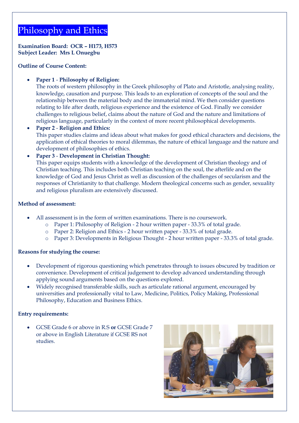### Philosophy and Ethics

**Examination Board: OCR – H173, H573 Subject Leader: Mrs L Onuegbu**

**Outline of Course Content:**

### • **Paper 1** - **Philosophy of Religion:**

The roots of western philosophy in the Greek philosophy of Plato and Aristotle, analysing reality, knowledge, causation and purpose. This leads to an exploration of concepts of the soul and the relationship between the material body and the immaterial mind. We then consider questions relating to life after death, religious experience and the existence of God. Finally we consider challenges to religious belief, claims about the nature of God and the nature and limitations of religious language, particularly in the context of more recent philosophical developments.

• **Paper 2** - **Religion and Ethics:**  This paper studies claims and ideas about what makes for good ethical characters and decisions, the application of ethical theories to moral dilemmas, the nature of ethical language and the nature and development of philosophies of ethics.

### • **Paper 3** - **Development in Christian Thought:**

This paper equips students with a knowledge of the development of Christian theology and of Christian teaching. This includes both Christian teaching on the soul, the afterlife and on the knowledge of God and Jesus Christ as well as discussion of the challenges of secularism and the responses of Christianity to that challenge. Modern theological concerns such as gender, sexuality and religious pluralism are extensively discussed.

### **Method of assessment:**

- All assessment is in the form of written examinations. There is no coursework.
	- o Paper 1: Philosophy of Religion 2 hour written paper 33.3% of total grade.
	- o Paper 2: Religion and Ethics 2 hour written paper 33.3% of total grade.
	- o Paper 3: Developments in Religious Thought 2 hour written paper 33.3% of total grade.

### **Reasons for studying the course:**

- Development of rigorous questioning which penetrates through to issues obscured by tradition or convenience. Development of critical judgement to develop advanced understanding through applying sound arguments based on the questions explored.
- Widely recognised transferable skills, such as articulate rational argument, encouraged by universities and professionally vital to Law, Medicine, Politics, Policy Making, Professional Philosophy, Education and Business Ethics.

### **Entry requirements:**

• GCSE Grade 6 or above in R.S **or** GCSE Grade 7 or above in English Literature if GCSE RS not studies.

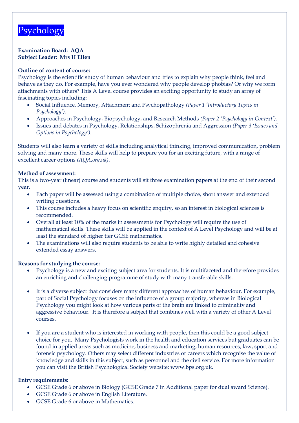### Psychology

### **Examination Board: AQA Subject Leader: Mrs H Ellen**

### **Outline of content of course:**

Psychology is the scientific study of human behaviour and tries to explain why people think, feel and behave as they do. For example, have you ever wondered why people develop phobias? Or why we form attachments with others? This A Level course provides an exciting opportunity to study an array of fascinating topics including:

- Social Influence, Memory, Attachment and Psychopathology *(Paper 1 'Introductory Topics in Psychology').*
- Approaches in Psychology, Biopsychology, and Research Methods *(Paper 2 'Psychology in Context').*
- Issues and debates in Psychology, Relationships, Schizophrenia and Aggression *(Paper 3 'Issues and Options in Psychology').*

Students will also learn a variety of skills including analytical thinking, improved communication, problem solving and many more. These skills will help to prepare you for an exciting future, with a range of excellent career options *(AQA.org.uk)*.

### **Method of assessment:**

This is a two-year (linear) course and students will sit three examination papers at the end of their second year.

- Each paper will be assessed using a combination of multiple choice, short answer and extended writing questions.
- This course includes a heavy focus on scientific enquiry, so an interest in biological sciences is recommended.
- Overall at least 10% of the marks in assessments for Psychology will require the use of mathematical skills. These skills will be applied in the context of A Level Psychology and will be at least the standard of higher tier GCSE mathematics.
- The examinations will also require students to be able to write highly detailed and cohesive extended essay answers.

### **Reasons for studying the course:**

- Psychology is a new and exciting subject area for students. It is multifaceted and therefore provides an enriching and challenging programme of study with many transferable skills.
- It is a diverse subject that considers many different approaches of human behaviour. For example, part of Social Psychology focuses on the influence of a group majority, whereas in Biological Psychology you might look at how various parts of the brain are linked to criminality and aggressive behaviour. It is therefore a subject that combines well with a variety of other A Level courses.
- If you are a student who is interested in working with people, then this could be a good subject choice for you. Many Psychologists work in the health and education services but graduates can be found in applied areas such as medicine, business and marketing, human resources, law, sport and forensic psychology. Others may select different industries or careers which recognise the value of knowledge and skills in this subject, such as personnel and the civil service. For more information you can visit the British Psychological Society website: [www.bps.org.uk.](http://www.bps.org.uk/)

- GCSE Grade 6 or above in Biology (GCSE Grade 7 in Additional paper for dual award Science).
- GCSE Grade 6 or above in English Literature.
- GCSE Grade 6 or above in Mathematics.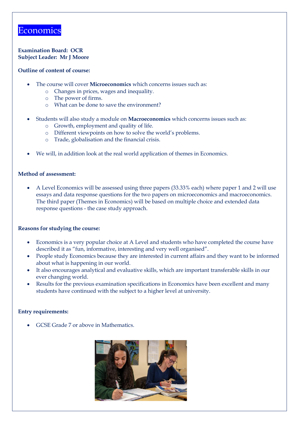### **Economics**

### **Examination Board: OCR Subject Leader: Mr J Moore**

### **Outline of content of course:**

- The course will cover **Microeconomics** which concerns issues such as:
	- o Changes in prices, wages and inequality.
	- o The power of firms.
	- o What can be done to save the environment?
- Students will also study a module on **Macroeconomics** which concerns issues such as:
	- o Growth, employment and quality of life.
	- o Different viewpoints on how to solve the world's problems.
	- o Trade, globalisation and the financial crisis.
- We will, in addition look at the real world application of themes in Economics.

### **Method of assessment:**

• A Level Economics will be assessed using three papers (33.33% each) where paper 1 and 2 will use essays and data response questions for the two papers on microeconomics and macroeconomics. The third paper (Themes in Economics) will be based on multiple choice and extended data response questions - the case study approach.

### **Reasons for studying the course:**

- Economics is a very popular choice at A Level and students who have completed the course have described it as "fun, informative, interesting and very well organised".
- People study Economics because they are interested in current affairs and they want to be informed about what is happening in our world.
- It also encourages analytical and evaluative skills, which are important transferable skills in our ever changing world.
- Results for the previous examination specifications in Economics have been excellent and many students have continued with the subject to a higher level at university.

### **Entry requirements:**

• GCSE Grade 7 or above in Mathematics.

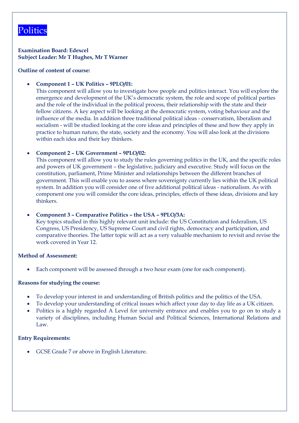### Politics

**Examination Board: Edexcel Subject Leader: Mr T Hughes, Mr T Warner**

### **Outline of content of course:**

### • **Component 1 – UK Politics – 9PLO/01:**

This component will allow you to investigate how people and politics interact. You will explore the emergence and development of the UK's democratic system, the role and scope of political parties and the role of the individual in the political process, their relationship with the state and their fellow citizens. A key aspect will be looking at the democratic system, voting behaviour and the influence of the media. In addition three traditional political ideas - conservatism, liberalism and socialism - will be studied looking at the core ideas and principles of these and how they apply in practice to human nature, the state, society and the economy. You will also look at the divisions within each idea and their key thinkers.

### • **Component 2 – UK Government – 9PLO/02:**

This component will allow you to study the rules governing politics in the UK, and the specific roles and powers of UK government – the legislative, judiciary and executive. Study will focus on the constitution, parliament, Prime Minister and relationships between the different branches of government. This will enable you to assess where sovereignty currently lies within the UK political system. In addition you will consider one of five additional political ideas - nationalism. As with component one you will consider the core ideas, principles, effects of these ideas, divisions and key thinkers.

### • **Component 3 – Comparative Politics – the USA – 9PLO/3A:**

Key topics studied in this highly relevant unit include: the US Constitution and federalism, US Congress, US Presidency, US Supreme Court and civil rights, democracy and participation, and comparative theories. The latter topic will act as a very valuable mechanism to revisit and revise the work covered in Year 12.

### **Method of Assessment:**

• Each component will be assessed through a two hour exam (one for each component).

### **Reasons for studying the course:**

- To develop your interest in and understanding of British politics and the politics of the USA.
- To develop your understanding of critical issues which affect your day to day life as a UK citizen.
- Politics is a highly regarded A Level for university entrance and enables you to go on to study a variety of disciplines, including Human Social and Political Sciences, International Relations and Law.

### **Entry Requirements:**

• GCSE Grade 7 or above in English Literature.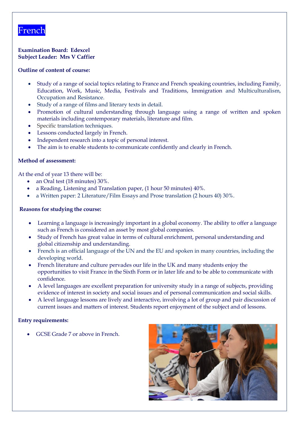### French

### **Examination Board: Edexcel Subject Leader: Mrs V Caffier**

### **Outline of content of course:**

- Study of a range of social topics relating to France and French speaking countries, including Family, Education, Work, Music, Media, Festivals and Traditions, Immigration and Multiculturalism, Occupation and Resistance.
- Study of a range of films and literary texts in detail.
- Promotion of cultural understanding through language using a range of written and spoken materials including contemporary materials, literature and film.
- Specific translation techniques.
- Lessons conducted largely in French.
- Independent research into a topic of personal interest.
- The aim is to enable students to communicate confidently and clearly in French.

### **Method of assessment:**

At the end of year 13 there will be:

- an Oral test (18 minutes) 30%.
- a Reading, Listening and Translation paper, (1 hour 50 minutes) 40%.
- a Written paper: 2 Literature/Film Essays and Prose translation (2 hours 40) 30%.

### **Reasons for studying the course:**

- Learning a language is increasingly important in a global economy. The ability to offer a language such as French is considered an asset by most global companies.
- Study of French has great value in terms of cultural enrichment, personal understanding and global citizenship and understanding.
- French is an official language of the UN and the EU and spoken in many countries, including the developing world.
- French literature and culture pervades our life in the UK and many students enjoy the opportunities to visit France in the Sixth Form or in later life and to be able to communicate with confidence.
- A level languages are excellent preparation for university study in a range of subjects, providing evidence of interest in society and social issues and of personal communication and social skills.
- A level language lessons are lively and interactive, involving a lot of group and pair discussion of current issues and matters of interest. Students report enjoyment of the subject and of lessons.

### **Entry requirements:**

• GCSE Grade 7 or above in French.

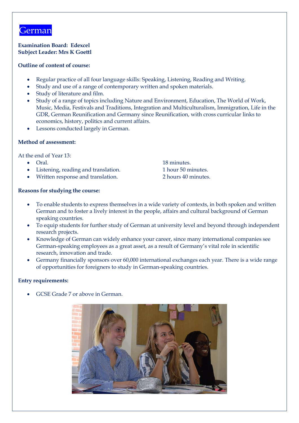### German

### **Examination Board: Edexcel Subject Leader: Mrs K Goettl**

### **Outline of content of course:**

- Regular practice of all four language skills: Speaking, Listening, Reading and Writing.
- Study and use of a range of contemporary written and spoken materials.
- Study of literature and film.
- Study of a range of topics including Nature and Environment, Education, The World of Work, Music, Media, Festivals and Traditions, Integration and Multiculturalism, Immigration, Life in the GDR, German Reunification and Germany since Reunification, with cross curricular links to economics, history, politics and current affairs.
- Lessons conducted largely in German.

### **Method of assessment:**

At the end of Year 13:

- 
- Listening, reading and translation. 1 hour 50 minutes.
- Written response and translation. 2 hours 40 minutes.

**Reasons for studying the course:**

- To enable students to express themselves in a wide variety of contexts, in both spoken and written German and to foster a lively interest in the people, affairs and cultural background of German speaking countries.
- To equip students for further study of German at university level and beyond through independent research projects.
- Knowledge of German can widely enhance your career, since many international companies see German-speaking employees as a great asset, as a result of Germany's vital role in scientific research, innovation and trade.
- Germany financially sponsors over 60,000 international exchanges each year. There is a wide range of opportunities for foreigners to study in German-speaking countries.

### **Entry requirements:**

• GCSE Grade 7 or above in German.



• Oral. 18 minutes.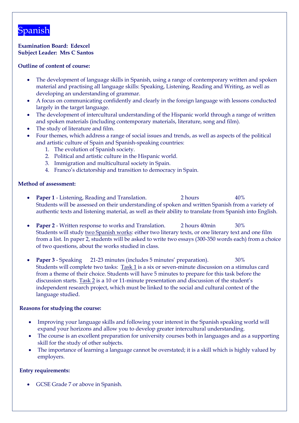### Spanish

**Examination Board: Edexcel Subject Leader: Mrs C Santos**

### **Outline of content of course:**

- The development of language skills in Spanish, using a range of contemporary written and spoken material and practising all language skills: Speaking, Listening, Reading and Writing, as well as developing an understanding of grammar.
- A focus on communicating confidently and clearly in the foreign language with lessons conducted largely in the target language.
- The development of intercultural understanding of the Hispanic world through a range of written and spoken materials (including contemporary materials, literature, song and film).
- The study of literature and film.
- Four themes, which address a range of social issues and trends, as well as aspects of the political and artistic culture of Spain and Spanish-speaking countries:
	- 1. The evolution of Spanish society.
	- 2. Political and artistic culture in the Hispanic world.
	- 3. Immigration and multicultural society in Spain.
	- 4. Franco's dictatorship and transition to democracy in Spain.

### **Method of assessment:**

- **Paper 1** Listening, Reading and Translation. 2 hours 40% Students will be assessed on their understanding of spoken and written Spanish from a variety of authentic texts and listening material, as well as their ability to translate from Spanish into English.
- **Paper 2** Written response to works and Translation. 2 hours 40min 30% Students will study two Spanish works: either two literary texts, or one literary text and one film from a list. In paper 2, students will be asked to write two essays (300-350 words each) from a choice of two questions, about the works studied in class.
- **Paper 3** Speaking 21-23 minutes (includes 5 minutes' preparation). 30% Students will complete two tasks: Task 1 is a six or seven-minute discussion on a stimulus card from a theme of their choice. Students will have 5 minutes to prepare for this task before the discussion starts. Task 2 is a 10 or 11-minute presentation and discussion of the student's independent research project, which must be linked to the social and cultural context of the language studied.

### **Reasons for studying the course:**

- Improving your language skills and following your interest in the Spanish speaking world will expand your horizons and allow you to develop greater intercultural understanding.
- The course is an excellent preparation for university courses both in languages and as a supporting skill for the study of other subjects.
- The importance of learning a language cannot be overstated; it is a skill which is highly valued by employers.

### **Entry requirements:**

• GCSE Grade 7 or above in Spanish.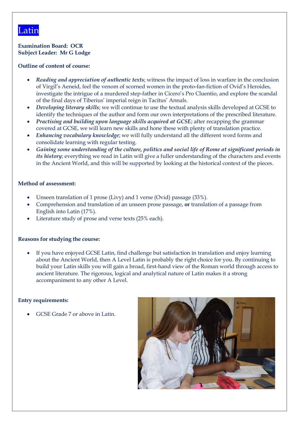### Latin

**Examination Board: OCR Subject Leader: Mr G Lodge**

### **Outline of content of course:**

- *Reading and appreciation of authentic texts*; witness the impact of loss in warfare in the conclusion of Virgil's Aeneid, feel the venom of scorned women in the proto-fan-fiction of Ovid's Heroides, investigate the intrigue of a murdered step-father in Cicero's Pro Cluentio, and explore the scandal of the final days of Tiberius' imperial reign in Tacitus' Annals.
- *Developing literary skills*; we will continue to use the textual analysis skills developed at GCSE to identify the techniques of the author and form our own interpretations of the prescribed literature.
- *Practising and building upon language skills acquired at GCSE;* after recapping the grammar covered at GCSE, we will learn new skills and hone these with plenty of translation practice.
- *Enhancing vocabulary knowledge*; we will fully understand all the different word forms and consolidate learning with regular testing.
- *Gaining some understanding of the culture, politics and social life of Rome at significant periods in its history*; everything we read in Latin will give a fuller understanding of the characters and events in the Ancient World, and this will be supported by looking at the historical context of the pieces.

### **Method of assessment:**

- Unseen translation of 1 prose (Livy) and 1 verse (Ovid) passage (33%).
- Comprehension and translation of an unseen prose passage, **or** translation of a passage from English into Latin (17%).
- Literature study of prose and verse texts (25% each).

### **Reasons for studying the course:**

If you have enjoyed GCSE Latin, find challenge but satisfaction in translation and enjoy learning about the Ancient World, then A Level Latin is probably the right choice for you. By continuing to build your Latin skills you will gain a broad, first-hand view of the Roman world through access to ancient literature. The rigorous, logical and analytical nature of Latin makes it a strong accompaniment to any other A Level.

### **Entry requirements:**

• GCSE Grade 7 or above in Latin.

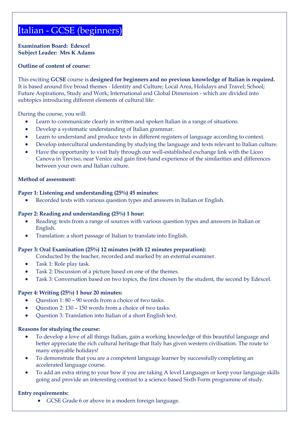### Italian - GCSE (beginners)

**Examination Board: Edexcel Subject Leader: Mrs K Adams**

### **Outline of content of course:**

This exciting **GCSE** course is **designed for beginners and no previous knowledge of Italian is required.** It is based around five broad themes - Identity and Culture; Local Area, Holidays and Travel; School; Future Aspirations, Study and Work; International and Global Dimension - which are divided into subtopics introducing different elements of cultural life:

During the course, you will:

- Learn to communicate clearly in written and spoken Italian in a range of situations.
- Develop a systematic understanding of Italian grammar.
- Learn to understand and produce texts in different registers of language according to context.
- Develop intercultural understanding by studying the language and texts relevant to Italian culture.
- Have the opportunity to visit Italy through our well-established exchange link with the Liceo Canova in Treviso, near Venice and gain first-hand experience of the similarities and differences between your own and Italian culture.

#### **Method of assessment:**

#### **Paper 1: Listening and understanding (25%) 45 minutes:**

• Recorded texts with various question types and answers in Italian or English.

#### **Paper 2: Reading and understanding (25%) 1 hour:**

- Reading: texts from a range of sources with various question types and answers in Italian or English.
- Translation: a short passage of Italian to translate into English.

### **Paper 3: Oral Examination (25%) 12 minutes (with 12 minutes preparation):**

Conducted by the teacher, recorded and marked by an external examiner.

- Task 1: Role play task.
- Task 2: Discussion of a picture based on one of the themes.
- Task 3: Conversation based on two topics, the first chosen by the student, the second by Edexcel.

#### **Paper 4: Writing (25%) 1 hour 20 minutes:**

- Question 1: 80 90 words from a choice of two tasks.
- Question 2: 130 150 words from a choice of two tasks.
- Question 3: Translation into Italian of a short English text.

#### **Reasons for studying the course:**

- To develop a love of all things Italian, gain a working knowledge of this beautiful language and better appreciate the rich cultural heritage that Italy has given western civilisation. The route to many enjoyable holidays!
- To demonstrate that you are a competent language learner by successfully completing an accelerated language course.
- To add an extra string to your bow if you are taking A level Languages or keep your language skills going and provide an interesting contrast to a science-based Sixth Form programme of study.

#### **Entry requirements:**

• GCSE Grade 6 or above in a modern foreign language.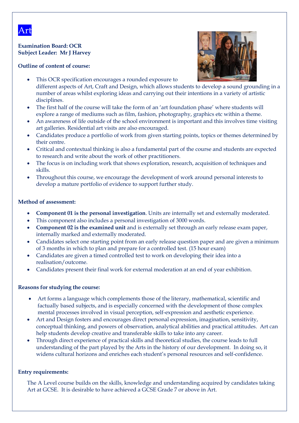

### **Examination Board: OCR Subject Leader: Mr J Harvey**

### **Outline of content of course:**



- This OCR specification encourages a rounded exposure to different aspects of Art, Craft and Design, which allows students to develop a sound grounding in a number of areas whilst exploring ideas and carrying out their intentions in a variety of artistic disciplines.
- The first half of the course will take the form of an 'art foundation phase' where students will explore a range of mediums such as film, fashion, photography, graphics etc within a theme.
- An awareness of life outside of the school environment is important and this involves time visiting art galleries. Residential art visits are also encouraged.
- Candidates produce a portfolio of work from given starting points, topics or themes determined by their centre.
- Critical and contextual thinking is also a fundamental part of the course and students are expected to research and write about the work of other practitioners.
- The focus is on including work that shows exploration, research, acquisition of techniques and skills.
- Throughout this course, we encourage the development of work around personal interests to develop a mature portfolio of evidence to support further study.

### **Method of assessment:**

- **Component 01 is the personal investigation**. Units are internally set and externally moderated.
- This component also includes a personal investigation of 3000 words.
- **Component 02 is the examined unit** and is externally set through an early release exam paper, internally marked and externally moderated.
- Candidates select one starting point from an early release question paper and are given a minimum of 3 months in which to plan and prepare for a controlled test. (15 hour exam)
- Candidates are given a timed controlled test to work on developing their idea into a realisation/outcome.
- Candidates present their final work for external moderation at an end of year exhibition.

### **Reasons for studying the course:**

- Art forms a language which complements those of the literary, mathematical, scientific and factually based subjects, and is especially concerned with the development of those complex mental processes involved in visual perception, self-expression and aesthetic experience.
- Art and Design fosters and encourages direct personal expression, imagination, sensitivity, conceptual thinking, and powers of observation, analytical abilities and practical attitudes. Art can help students develop creative and transferable skills to take into any career.
- Through direct experience of practical skills and theoretical studies, the course leads to full understanding of the part played by the Arts in the history of our development. In doing so, it widens cultural horizons and enriches each student's personal resources and self-confidence.

### **Entry requirements:**

The A Level course builds on the skills, knowledge and understanding acquired by candidates taking Art at GCSE. It is desirable to have achieved a GCSE Grade 7 or above in Art.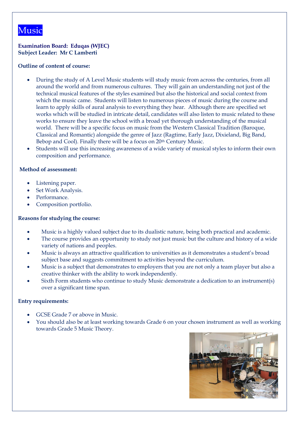### **Examination Board: Eduqas (WJEC) Subject Leader: Mr C Lamberti**

### **Outline of content of course:**

- During the study of A Level Music students will study music from across the centuries, from all around the world and from numerous cultures. They will gain an understanding not just of the technical musical features of the styles examined but also the historical and social context from which the music came. Students will listen to numerous pieces of music during the course and learn to apply skills of aural analysis to everything they hear. Although there are specified set works which will be studied in intricate detail, candidates will also listen to music related to these works to ensure they leave the school with a broad yet thorough understanding of the musical world. There will be a specific focus on music from the Western Classical Tradition (Baroque, Classical and Romantic) alongside the genre of Jazz (Ragtime, Early Jazz, Dixieland, Big Band, Bebop and Cool). Finally there will be a focus on 20<sup>th</sup> Century Music.
- Students will use this increasing awareness of a wide variety of musical styles to inform their own composition and performance.

### **Method of assessment:**

- Listening paper.
- Set Work Analysis.
- Performance.
- Composition portfolio.

### **Reasons for studying the course:**

- Music is a highly valued subject due to its dualistic nature, being both practical and academic.
- The course provides an opportunity to study not just music but the culture and history of a wide variety of nations and peoples.
- Music is always an attractive qualification to universities as it demonstrates a student's broad subject base and suggests commitment to activities beyond the curriculum.
- Music is a subject that demonstrates to employers that you are not only a team player but also a creative thinker with the ability to work independently.
- Sixth Form students who continue to study Music demonstrate a dedication to an instrument(s) over a significant time span.

- GCSE Grade 7 or above in Music.
- You should also be at least working towards Grade 6 on your chosen instrument as well as working towards Grade 5 Music Theory.

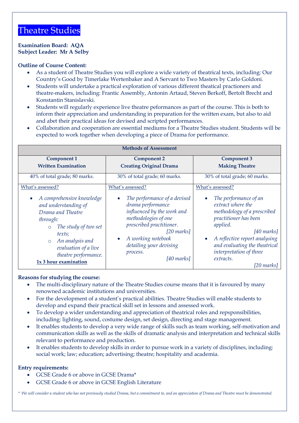### Theatre Studies

### **Examination Board: AQA Subject Leader: Mr A Selby**

### **Outline of Course Content:**

- As a student of Theatre Studies you will explore a wide variety of theatrical texts, including: Our Country's Good by Timerlake Wertenbaker and A Servant to Two Masters by Carlo Goldoni.
- Students will undertake a practical exploration of various different theatical practioners and theatre-makers, including: Frantic Assembly, Antonin Artaud, Steven Berkoff, Bertolt Brecht and Konstantin Stanislavski.
- Students will regularly experience live theatre peformances as part of the course. This is both to inform their appreciation and understanding in preparation for the written exam, but also to aid and abet their practical ideas for devised and scripted performances.
- Collaboration and cooperation are essential mediums for a Theatre Studies student. Students will be expected to work together when developing a piece of Drama for performance.

| <b>Methods of Assessment</b>                                                                                                                                                                                                                               |                                                                                                                                                                                                                                                         |                                                                                                                                                                                                                                                                                                                |
|------------------------------------------------------------------------------------------------------------------------------------------------------------------------------------------------------------------------------------------------------------|---------------------------------------------------------------------------------------------------------------------------------------------------------------------------------------------------------------------------------------------------------|----------------------------------------------------------------------------------------------------------------------------------------------------------------------------------------------------------------------------------------------------------------------------------------------------------------|
| <b>Component 1</b><br><b>Written Examination</b>                                                                                                                                                                                                           | <b>Component 2</b><br><b>Creating Original Drama</b>                                                                                                                                                                                                    | <b>Component 3</b><br><b>Making Theatre</b>                                                                                                                                                                                                                                                                    |
| 40% of total grade; 80 marks.                                                                                                                                                                                                                              | 30% of total grade; 60 marks.                                                                                                                                                                                                                           | 30% of total grade; 60 marks.                                                                                                                                                                                                                                                                                  |
| What's assessed?<br>A comprehensive knowledge<br>and understanding of<br>Drama and Theatre<br>through:<br>The study of two set<br>$\circ$<br>texts;<br>An analysis and<br>$\circ$<br>evaluation of a live<br>theatre performance.<br>1x 3 hour examination | What's assessed?<br>The performance of a devised<br>drama performance<br>influenced by the work and<br>methodologies of one<br>prescribed practitioner.<br>$[20$ marks]<br>A working notebook<br>detailing your devising<br>process.<br>$[40$ marks $]$ | What's assessed?<br>The performance of an<br>$\bullet$<br>extract where the<br>methodology of a prescribed<br>practitioner has been<br>applied.<br>$[40$ marks]<br>A reflective report analysing<br>$\bullet$<br>and evaluating the theatrical<br>interpretation of three<br>extracts.<br>$[20 \text{ marks}]$ |

### **Reasons for studying the course:**

- The multi-disciplinary nature of the Theatre Studies course means that it is favoured by many renowned academic institutions and universities.
- For the development of a student's practical abilities. Theatre Studies will enable students to develop and expand their practical skill set in lessons and assessed work.
- To develop a wider understanding and appreciation of theatrical roles and repsponsibilities, including: lighting, sound, costume design, set design, directing and stage management.
- It enables students to develop a very wide range of skills such as team working, self-motivation and communication skills as well as the skills of dramatic analysis and interpretation and technical skills relevant to performance and production.
- It enables students to develop skills in order to pursue work in a variety of disciplines, including: social work; law; education; advertising; theatre; hospitality and academia.

### **Entry requirements:**

- GCSE Grade 6 or above in GCSE Drama\*
- GCSE Grade 6 or above in GCSE English Literature

*\* We will consider a student who has not previously studied Drama, but a commitment to, and an appreciation of Drama and Theatre must be demonstrated.*